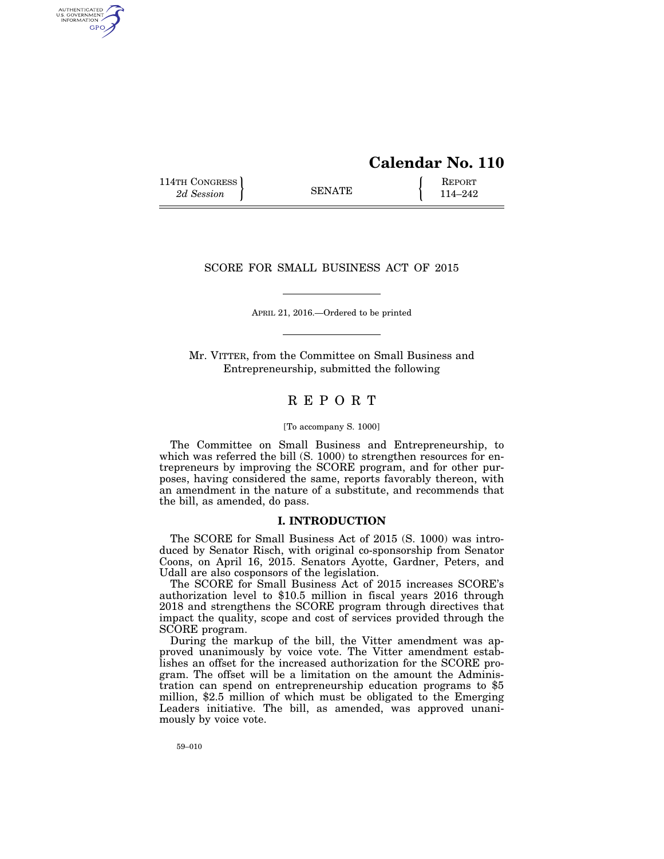# **Calendar No. 110**

114TH CONGRESS **REPORT** 2d Session **114–242** 

AUTHENTICATED<br>U.S. GOVERNMENT<br>INFORMATION GPO

## SCORE FOR SMALL BUSINESS ACT OF 2015

APRIL 21, 2016.—Ordered to be printed

Mr. VITTER, from the Committee on Small Business and Entrepreneurship, submitted the following

## R E P O R T

#### [To accompany S. 1000]

The Committee on Small Business and Entrepreneurship, to which was referred the bill (S. 1000) to strengthen resources for entrepreneurs by improving the SCORE program, and for other purposes, having considered the same, reports favorably thereon, with an amendment in the nature of a substitute, and recommends that the bill, as amended, do pass.

## **I. INTRODUCTION**

The SCORE for Small Business Act of 2015 (S. 1000) was introduced by Senator Risch, with original co-sponsorship from Senator Coons, on April 16, 2015. Senators Ayotte, Gardner, Peters, and Udall are also cosponsors of the legislation.

The SCORE for Small Business Act of 2015 increases SCORE's authorization level to \$10.5 million in fiscal years 2016 through 2018 and strengthens the SCORE program through directives that impact the quality, scope and cost of services provided through the SCORE program.

During the markup of the bill, the Vitter amendment was approved unanimously by voice vote. The Vitter amendment establishes an offset for the increased authorization for the SCORE program. The offset will be a limitation on the amount the Administration can spend on entrepreneurship education programs to \$5 million, \$2.5 million of which must be obligated to the Emerging Leaders initiative. The bill, as amended, was approved unanimously by voice vote.

59–010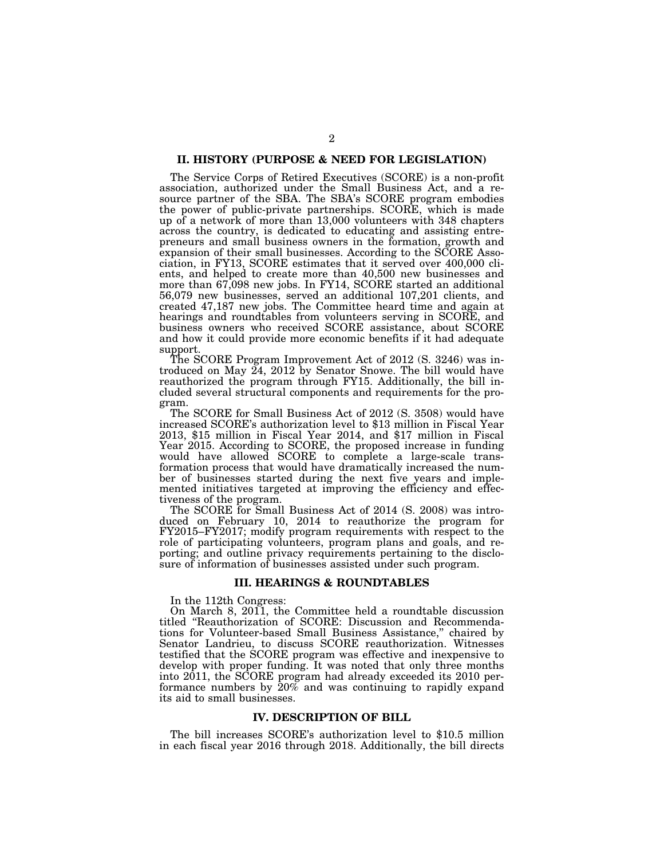## **II. HISTORY (PURPOSE & NEED FOR LEGISLATION)**

The Service Corps of Retired Executives (SCORE) is a non-profit association, authorized under the Small Business Act, and a resource partner of the SBA. The SBA's SCORE program embodies the power of public-private partnerships. SCORE, which is made up of a network of more than 13,000 volunteers with 348 chapters across the country, is dedicated to educating and assisting entrepreneurs and small business owners in the formation, growth and expansion of their small businesses. According to the SCORE Association, in FY13, SCORE estimates that it served over 400,000 clients, and helped to create more than 40,500 new businesses and more than 67,098 new jobs. In FY14, SCORE started an additional 56,079 new businesses, served an additional 107,201 clients, and created 47,187 new jobs. The Committee heard time and again at hearings and roundtables from volunteers serving in SCORE, and business owners who received SCORE assistance, about SCORE and how it could provide more economic benefits if it had adequate support.

The SCORE Program Improvement Act of 2012 (S. 3246) was introduced on May  $\tilde{24}$ , 2012 by Senator Snowe. The bill would have reauthorized the program through FY15. Additionally, the bill included several structural components and requirements for the program.

The SCORE for Small Business Act of 2012 (S. 3508) would have increased SCORE's authorization level to \$13 million in Fiscal Year 2013, \$15 million in Fiscal Year 2014, and \$17 million in Fiscal Year 2015. According to SCORE, the proposed increase in funding would have allowed SCORE to complete a large-scale transformation process that would have dramatically increased the number of businesses started during the next five years and implemented initiatives targeted at improving the efficiency and effectiveness of the program.

The SCORE for Small Business Act of 2014 (S. 2008) was introduced on February 10, 2014 to reauthorize the program for FY2015–FY2017; modify program requirements with respect to the role of participating volunteers, program plans and goals, and reporting; and outline privacy requirements pertaining to the disclosure of information of businesses assisted under such program.

#### **III. HEARINGS & ROUNDTABLES**

In the 112th Congress:

On March 8, 2011, the Committee held a roundtable discussion titled ''Reauthorization of SCORE: Discussion and Recommendations for Volunteer-based Small Business Assistance,'' chaired by Senator Landrieu, to discuss SCORE reauthorization. Witnesses testified that the SCORE program was effective and inexpensive to develop with proper funding. It was noted that only three months into 2011, the SCORE program had already exceeded its 2010 performance numbers by 20% and was continuing to rapidly expand its aid to small businesses.

#### **IV. DESCRIPTION OF BILL**

The bill increases SCORE's authorization level to \$10.5 million in each fiscal year 2016 through 2018. Additionally, the bill directs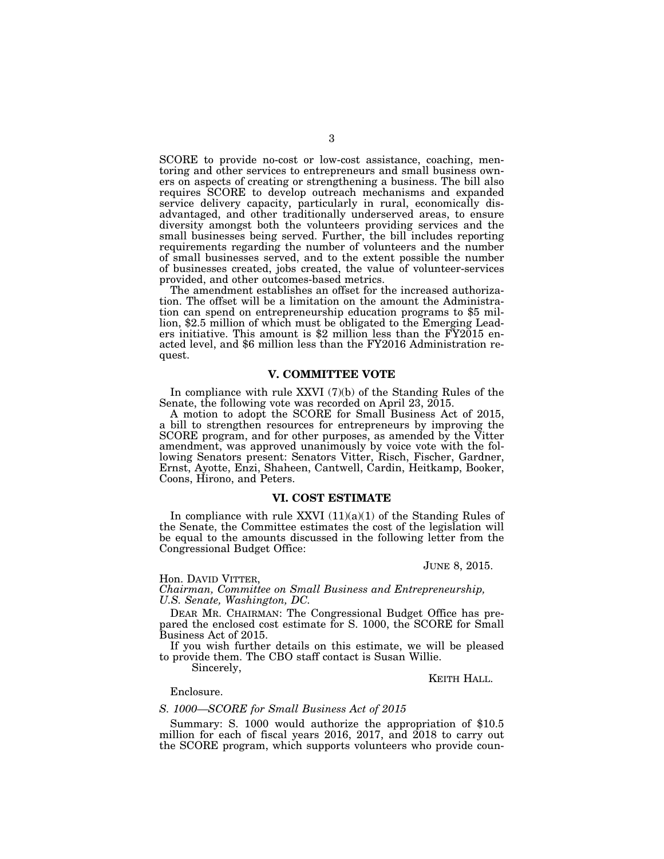SCORE to provide no-cost or low-cost assistance, coaching, mentoring and other services to entrepreneurs and small business owners on aspects of creating or strengthening a business. The bill also requires SCORE to develop outreach mechanisms and expanded service delivery capacity, particularly in rural, economically disadvantaged, and other traditionally underserved areas, to ensure diversity amongst both the volunteers providing services and the small businesses being served. Further, the bill includes reporting requirements regarding the number of volunteers and the number of small businesses served, and to the extent possible the number of businesses created, jobs created, the value of volunteer-services provided, and other outcomes-based metrics.

The amendment establishes an offset for the increased authorization. The offset will be a limitation on the amount the Administration can spend on entrepreneurship education programs to \$5 million, \$2.5 million of which must be obligated to the Emerging Leaders initiative. This amount is \$2 million less than the FY2015 enacted level, and \$6 million less than the FY2016 Administration request.

#### **V. COMMITTEE VOTE**

In compliance with rule XXVI (7)(b) of the Standing Rules of the Senate, the following vote was recorded on April 23, 2015.

A motion to adopt the SCORE for Small Business Act of 2015, a bill to strengthen resources for entrepreneurs by improving the SCORE program, and for other purposes, as amended by the Vitter amendment, was approved unanimously by voice vote with the following Senators present: Senators Vitter, Risch, Fischer, Gardner, Ernst, Ayotte, Enzi, Shaheen, Cantwell, Cardin, Heitkamp, Booker, Coons, Hirono, and Peters.

## **VI. COST ESTIMATE**

In compliance with rule XXVI  $(11)(a)(1)$  of the Standing Rules of the Senate, the Committee estimates the cost of the legislation will be equal to the amounts discussed in the following letter from the Congressional Budget Office:

JUNE 8, 2015.

Hon. DAVID VITTER,

*Chairman, Committee on Small Business and Entrepreneurship, U.S. Senate, Washington, DC.* 

DEAR MR. CHAIRMAN: The Congressional Budget Office has prepared the enclosed cost estimate for S. 1000, the SCORE for Small Business Act of 2015.

If you wish further details on this estimate, we will be pleased to provide them. The CBO staff contact is Susan Willie.

Sincerely,

KEITH HALL.

Enclosure.

### *S. 1000—SCORE for Small Business Act of 2015*

Summary: S. 1000 would authorize the appropriation of \$10.5 million for each of fiscal years 2016, 2017, and 2018 to carry out the SCORE program, which supports volunteers who provide coun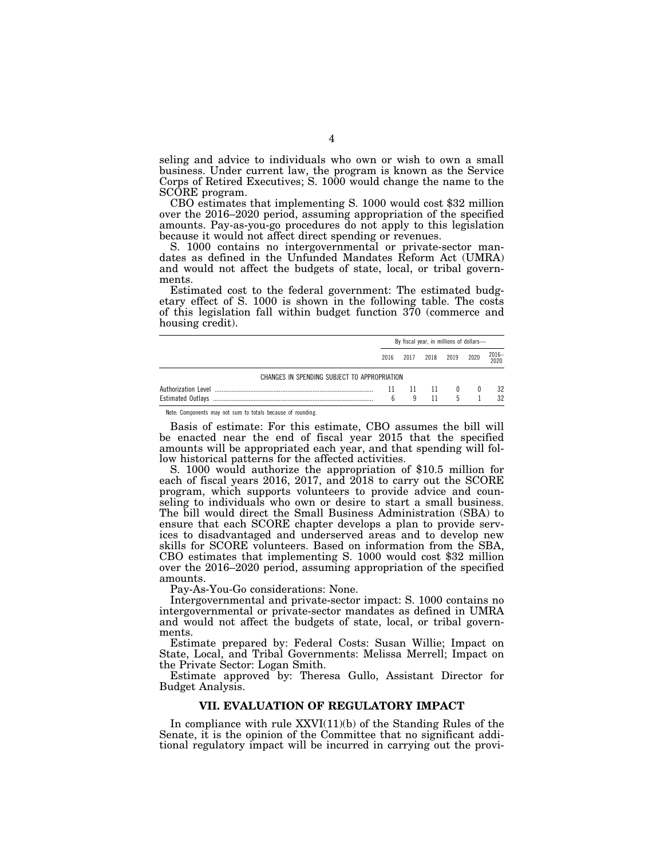seling and advice to individuals who own or wish to own a small business. Under current law, the program is known as the Service Corps of Retired Executives; S. 1000 would change the name to the

SCORE program.<br>CBO estimates that implementing S. 1000 would cost \$32 million over the 2016–2020 period, assuming appropriation of the specified amounts. Pay-as-you-go procedures do not apply to this legislation because it would not affect direct spending or revenues.

S. 1000 contains no intergovernmental or private-sector mandates as defined in the Unfunded Mandates Reform Act (UMRA) and would not affect the budgets of state, local, or tribal governments.

Estimated cost to the federal government: The estimated budgetary effect of S. 1000 is shown in the following table. The costs of this legislation fall within budget function 370 (commerce and housing credit).

|                                              | By fiscal year, in millions of dollars- |      |      |      |              |               |
|----------------------------------------------|-----------------------------------------|------|------|------|--------------|---------------|
|                                              | 2016                                    | 2017 | 2018 | 2019 | 2020         | 2016-<br>2020 |
| CHANGES IN SPENDING SUBJECT TO APPROPRIATION |                                         |      |      |      |              |               |
| Authorization Level                          | 11                                      |      | 11   |      | $\mathbf{u}$ | 32            |
| <b>Estimated Outlavs</b>                     | h                                       |      |      |      |              | 32            |

Note: Components may not sum to totals because of rounding.

Basis of estimate: For this estimate, CBO assumes the bill will be enacted near the end of fiscal year 2015 that the specified amounts will be appropriated each year, and that spending will follow historical patterns for the affected activities.

S. 1000 would authorize the appropriation of \$10.5 million for each of fiscal years 2016, 2017, and 2018 to carry out the SCORE program, which supports volunteers to provide advice and counseling to individuals who own or desire to start a small business. The bill would direct the Small Business Administration (SBA) to ensure that each SCORE chapter develops a plan to provide services to disadvantaged and underserved areas and to develop new skills for SCORE volunteers. Based on information from the SBA, CBO estimates that implementing S. 1000 would cost \$32 million over the 2016–2020 period, assuming appropriation of the specified amounts.

Pay-As-You-Go considerations: None.

Intergovernmental and private-sector impact: S. 1000 contains no intergovernmental or private-sector mandates as defined in UMRA and would not affect the budgets of state, local, or tribal governments.

Estimate prepared by: Federal Costs: Susan Willie; Impact on State, Local, and Tribal Governments: Melissa Merrell; Impact on the Private Sector: Logan Smith.

Estimate approved by: Theresa Gullo, Assistant Director for Budget Analysis.

### **VII. EVALUATION OF REGULATORY IMPACT**

In compliance with rule XXVI(11)(b) of the Standing Rules of the Senate, it is the opinion of the Committee that no significant additional regulatory impact will be incurred in carrying out the provi